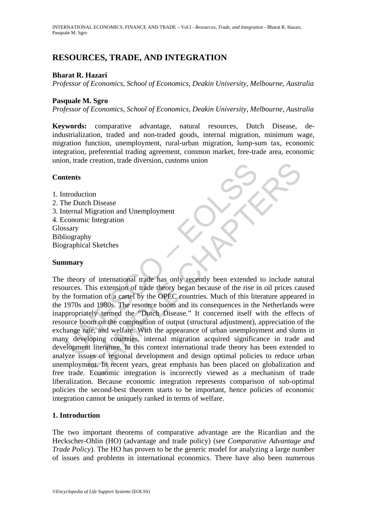# **RESOURCES, TRADE, AND INTEGRATION**

## **Bharat R. Hazari**

*Professor of Economics, School of Economics, Deakin University, Melbourne, Australia* 

### **Pasquale M. Sgro**

*Professor of Economics, School of Economics, Deakin University, Melbourne, Australia* 

**Keywords:** comparative advantage, natural resources, Dutch Disease, deindustrialization, traded and non-traded goods, internal migration, minimum wage, migration function, unemployment, rural-urban migration, lump-sum tax, economic integration, preferential trading agreement, common market, free-trade area, economic union, trade creation, trade diversion, customs union

#### **Contents**

1. Introduction 2. The Dutch Disease 3. Internal Migration and Unemployment 4. Economic Integration Glossary Bibliography Biographical Sketches

#### **Summary**

The Dutch Disease<br>
then Disease<br>
the Disease<br>
the Disease<br>
the Disease<br>
the Disease<br>
then Migration and Unemployment<br>
conomic Integration<br>
conomic Integration<br>
stary<br>
stary<br>
theory of international trade has only recently Migration and Unemployment<br>
of the Disease<br>
Migration and Unemployment<br>
ic Integration<br>
tion<br>
the same Migration and Unemployment<br>
of international trade has only recently been extended to include nat<br>
This extension of tr The theory of international trade has only recently been extended to include natural resources. This extension of trade theory began because of the rise in oil prices caused by the formation of a cartel by the OPEC countries. Much of this literature appeared in the 1970s and 1980s. The resource boom and its consequences in the Netherlands were inappropriately termed the "Dutch Disease." It concerned itself with the effects of resource boom on the composition of output (structural adjustment), appreciation of the exchange rate, and welfare. With the appearance of urban unemployment and slums in many developing countries, internal migration acquired significance in trade and development literature. In this context international trade theory has been extended to analyze issues of regional development and design optimal policies to reduce urban unemployment. In recent years, great emphasis has been placed on globalization and free trade. Economic integration is incorrectly viewed as a mechanism of trade liberalization. Because economic integration represents comparison of sub-optimal policies the second-best theorem starts to be important, hence policies of economic integration cannot be uniquely ranked in terms of welfare.

### **1. Introduction**

The two important theorems of comparative advantage are the Ricardian and the Heckscher-Ohlin (HO) (advantage and trade policy) (see *Comparative Advantage and Trade Policy*). The HO has proven to be the generic model for analyzing a large number of issues and problems in international economics. There have also been numerous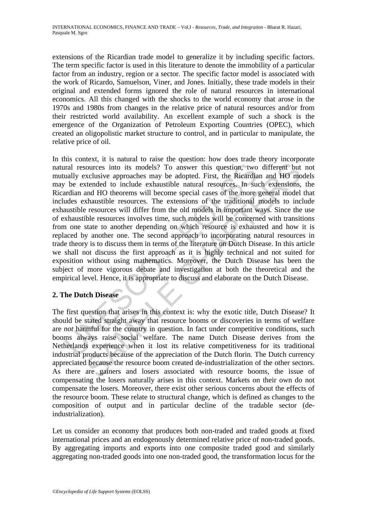extensions of the Ricardian trade model to generalize it by including specific factors. The term specific factor is used in this literature to denote the immobility of a particular factor from an industry, region or a sector. The specific factor model is associated with the work of Ricardo, Samuelson, Viner, and Jones. Initially, these trade models in their original and extended forms ignored the role of natural resources in international economics. All this changed with the shocks to the world economy that arose in the 1970s and 1980s from changes in the relative price of natural resources and/or from their restricted world availability. An excellent example of such a shock is the emergence of the Organization of Petroleum Exporting Countries (OPEC), which created an oligopolistic market structure to control, and in particular to manipulate, the relative price of oil.

Iral resources into its models? To answer this question, two<br>ually exclusive approaches may be adopted. First, the Ricardia<br>
<sup>1</sup> be extended to include exhaustible natural resources. In su<br>
and HO theorems will become spec cources into its models? To answer this question, two different but<br>xclusive approaches may be adopted. First, the Ricardian and HO model exhaustile natural resources. In such extensions, and the more general model<br>that an In this context, it is natural to raise the question: how does trade theory incorporate natural resources into its models? To answer this question, two different but not mutually exclusive approaches may be adopted. First, the Ricardian and HO models may be extended to include exhaustible natural resources. In such extensions, the Ricardian and HO theorems will become special cases of the more general model that includes exhaustible resources. The extensions of the traditional models to include exhaustible resources will differ from the old models in important ways. Since the use of exhaustible resources involves time, such models will be concerned with transitions from one state to another depending on which resource is exhausted and how it is replaced by another one. The second approach to incorporating natural resources in trade theory is to discuss them in terms of the literature on Dutch Disease. In this article we shall not discuss the first approach as it is highly technical and not suited for exposition without using mathematics. Moreover, the Dutch Disease has been the subject of more vigorous debate and investigation at both the theoretical and the empirical level. Hence, it is appropriate to discuss and elaborate on the Dutch Disease.

### **2. The Dutch Disease**

The first question that arises in this context is: why the exotic title, Dutch Disease? It should be stated straight away that resource booms or discoveries in terms of welfare are *not* harmful for the country in question. In fact under competitive conditions, such booms always raise social welfare. The name Dutch Disease derives from the Netherlands experience when it lost its relative competitiveness for its traditional industrial products because of the appreciation of the Dutch florin. The Dutch currency appreciated because the resource boom created de-industrialization of the other sectors. As there are gainers and losers associated with resource booms, the issue of compensating the losers naturally arises in this context. Markets on their own do not compensate the losers. Moreover, there exist other serious concerns about the effects of the resource boom. These relate to structural change, which is defined as changes to the composition of output and in particular decline of the tradable sector (deindustrialization).

Let us consider an economy that produces both non-traded and traded goods at fixed international prices and an endogenously determined relative price of non-traded goods. By aggregating imports and exports into one composite traded good and similarly aggregating non-traded goods into one non-traded good, the transformation locus for the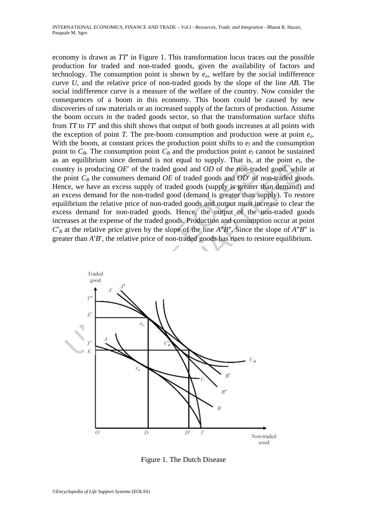economy is drawn as *TT*′ in Figure 1. This transformation locus traces out the possible production for traded and non-traded goods, given the availability of factors and technology. The consumption point is shown by  $e<sub>o</sub>$ , welfare by the social indifference curve *U*, and the relative price of non-traded goods by the slope of the line *AB.* The social indifference curve is a measure of the welfare of the country. Now consider the consequences of a boom in this economy. This boom could be caused by new discoveries of raw materials or an increased supply of the factors of production. Assume the boom occurs in the traded goods sector, so that the transformation surface shifts from *TT* to *TT*′ and this shift shows that output of both goods increases at all points with the exception of point *T*. The pre-boom consumption and production were at point  $e_0$ . With the boom, at constant prices the production point shifts to  $e_l$  and the consumption point to  $C_B$ . The consumption point  $C_B$  and the production point  $e_l$  cannot be sustained as an equilibrium since demand is not equal to supply. That is, at the point  $e_l$ , the country is producing *OE*′ of the traded good and *OD* of the non-traded good, while at the point  $C_B$  the consumers demand  $OE$  of traded goods and  $OD'$  of non-traded goods. Hence, we have an excess supply of traded goods (supply is greater than demand) and an excess demand for the non-traded good (demand is greater than supply). To restore equilibrium the relative price of non-traded goods and output must increase to clear the excess demand for non-traded goods. Hence, the output of the non-traded goods increases at the expense of the traded goods. Production and consumption occur at point *C*′*B* at the relative price given by the slope of the line *A*″*B*″. Since the slope of *A*″*B*″ is greater than *A*′*B*′, the relative price of non-traded goods has risen to restore equilibrium.



Figure 1. The Dutch Disease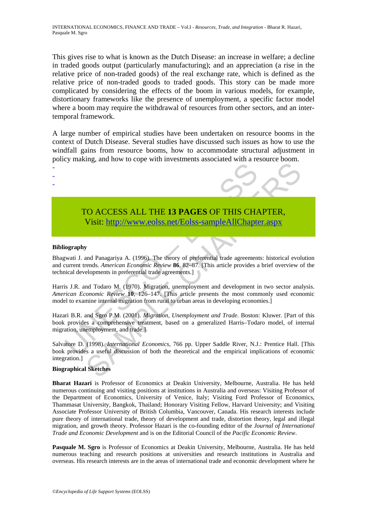This gives rise to what is known as the Dutch Disease: an increase in welfare; a decline in traded goods output (particularly manufacturing); and an appreciation (a rise in the relative price of non-traded goods) of the real exchange rate, which is defined as the relative price of non-traded goods to traded goods. This story can be made more complicated by considering the effects of the boom in various models, for example, distortionary frameworks like the presence of unemployment, a specific factor model where a boom may require the withdrawal of resources from other sectors, and an intertemporal framework.

A large number of empirical studies have been undertaken on resource booms in the context of Dutch Disease. Several studies have discussed such issues as how to use the windfall gains from resource booms, how to accommodate structural adjustment in policy making, and how to cope with investments associated with a resource boom.



#### **Bibliography**

- - -

Bhagwati J. and Panagariya A. (1996). The theory of preferential trade agreements: historical evolution and current trends. *American Economic Review* **86**, 82–87. [This article provides a brief overview of the technical developments in preferential trade agreements.]

TO ACCESS ALL THE 13 PAGES OF THIS CHANNEL Visit: http://www.eolss.net/Eolss-sampleAllChapte<br>
visit: http://www.eolss.net/Eolss-sampleAllChapte<br>
iography<br>
integral of the same of the same of the same of the same of the sam Harris J.R. and Todaro M. (1970). Migration, unemployment and development in two sector analysis. *American Economic Review* **10**, 126–147. [This article presents the most commonly used economic model to examine internal migration from rural to urban areas in developing economies.]

Hazari B.R. and Sgro P.M. (2001). *Migration, Unemployment and Trade*. Boston: Kluwer. [Part of this book provides a comprehensive treatment, based on a generalized Harris–Todaro model, of internal migration, unemployment, and trade.]

Salvatore D. (1998). *International Economics*, 766 pp. Upper Saddle River, N.J.: Prentice Hall. [This book provides a useful discussion of both the theoretical and the empirical implications of economic integration.]

#### **Biographical Sketches**

**Bharat Hazari** is Professor of Economics at Deakin University, Melbourne, Australia. He has held numerous continuing and visiting positions at institutions in Australia and overseas: Visiting Professor of the Department of Economics, University of Venice, Italy; Visiting Ford Professor of Economics, Thammasat University, Bangkok, Thailand; Honorary Visiting Fellow, Harvard University; and Visiting Associate Professor University of British Columbia, Vancouver, Canada. His research interests include pure theory of international trade, theory of development and trade, distortion theory, legal and illegal migration, and growth theory. Professor Hazari is the co-founding editor of the *Journal of International Trade and Economic Development* and is on the Editorial Council of the *Pacific Economic Review*.

**Pasquale M. Sgro** is Professor of Economics at Deakin University, Melbourne, Australia. He has held numerous teaching and research positions at universities and research institutions in Australia and overseas. His research interests are in the areas of international trade and economic development where he